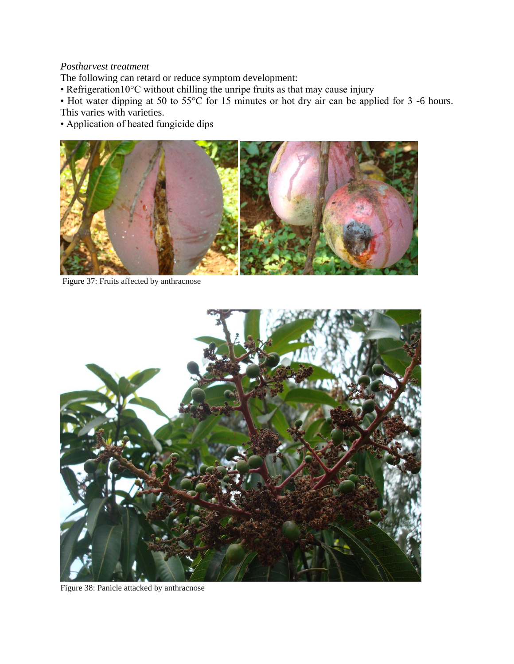## *Postharvest treatment*

The following can retard or reduce symptom development:

• Refrigeration10°C without chilling the unripe fruits as that may cause injury

• Hot water dipping at 50 to 55°C for 15 minutes or hot dry air can be applied for 3 -6 hours. This varies with varieties.

• Application of heated fungicide dips



Figure 37: Fruits affected by anthracnose



Figure 38: Panicle attacked by anthracnose